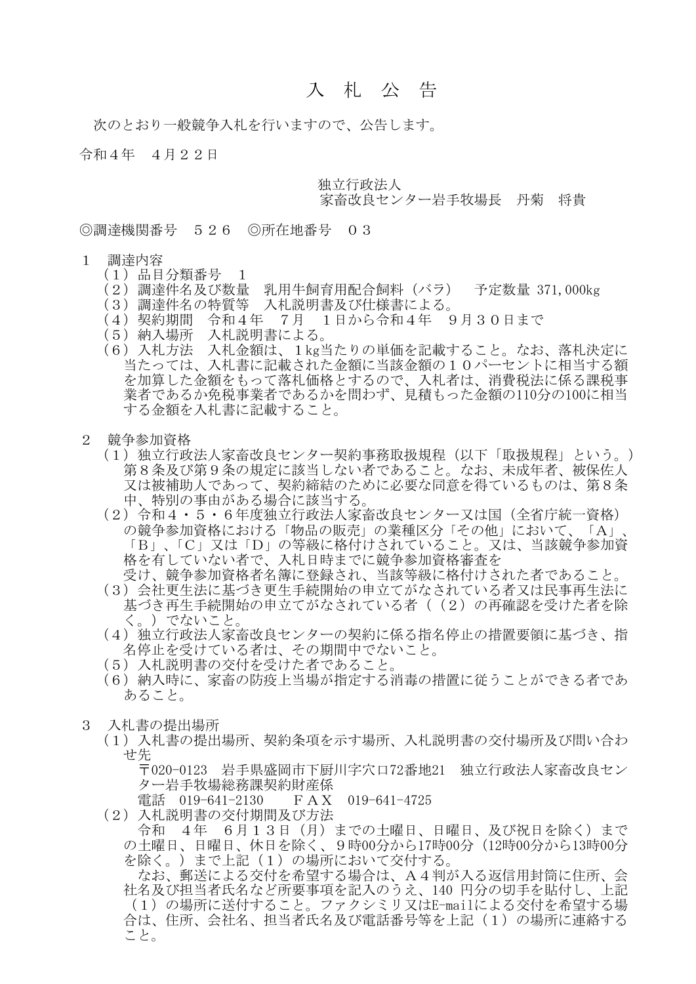## 入 札 公 告

次のとおり一般競争入札を行いますので、公告します。

令和4年 4月22日

独立行政法人

## 家畜改良センター岩手牧場長 丹菊 将貴

◎調達機関番号 526 ◎所在地番号 03

- 1 調達内容
	- (1)品目分類番号 1
	- (2)調達件名及び数量 乳用牛飼育用配合飼料(バラ) 予定数量 371,000kg
	- (3)調達件名の特質等 入札説明書及び仕様書による。
	- (4)契約期間 令和4年 7月 1日から令和4年 9月30日まで
	- 、・・、<br>(5)納入場所 入札説明書による。
	- (6)入札方法 入札金額は、1kg当たりの単価を記載すること。なお、落札決定に 当たっては、入札書に記載された金額に当該金額の10パーセントに相当する額 を加算した金額をもって落札価格とするので、入札者は、消費税法に係る課税事 業者であるか免税事業者であるかを問わず、見積もった金額の110分の100に相当 する金額を入札書に記載すること。
- 2 競争参加資格
	- (1)独立行政法人家畜改良センター契約事務取扱規程(以下「取扱規程」という。) 第8条及び第9条の規定に該当しない者であること。なお、未成年者、被保佐人 又は被補助人であって、契約締結のために必要な同意を得ているものは、第8条 中、特別の事由がある場合に該当する。
	- (2)令和4・5・6年度独立行政法人家畜改良センター又は国(全省庁統一資格) の競争参加資格における「物品の販売」の業種区分「その他」において、「A」、 「B」、「C」又は「D」の等級に格付けされていること。又は、当該競争参加資 格を有していない者で、入札日時までに競争参加資格審査を 受け、競争参加資格者名簿に登録され、当該等級に格付けされた者であること。
	- (3)会社更生法に基づき更生手続開始の申立てがなされている者又は民事再生法に 基づき再生手続開始の申立てがなされている者((2)の再確認を受けた者を除 く。)でないこと。
	- (4)独立行政法人家畜改良センターの契約に係る指名停止の措置要領に基づき、指 名停止を受けている者は、その期間中でないこと。
	- (5)入札説明書の交付を受けた者であること。
	- (6)納入時に、家畜の防疫上当場が指定する消毒の措置に従うことができる者であ あること。
- 3 入札書の提出場所
	- (1)入札書の提出場所、契約条項を示す場所、入札説明書の交付場所及び問い合わ せ先

 〒020-0123 岩手県盛岡市下厨川字穴口72番地21 独立行政法人家畜改良セン ター岩手牧場総務課契約財産係

電話 019-641-2130 FAX 019-641-4725

(2)入札説明書の交付期間及び方法

 令和 4年 6月13日(月)までの土曜日、日曜日、及び祝日を除く)まで の土曜日、日曜日、休日を除く、9時00分から17時00分(12時00分から13時00分 を除く。)まで上記(1)の場所において交付する。

 なお、郵送による交付を希望する場合は、A4判が入る返信用封筒に住所、会 社名及び担当者氏名など所要事項を記入のうえ、140 円分の切手を貼付し、上記 (1)の場所に送付すること。ファクシミリ又はE-mailによる交付を希望する場 合は、住所、会社名、担当者氏名及び電話番号等を上記(1)の場所に連絡する こと。